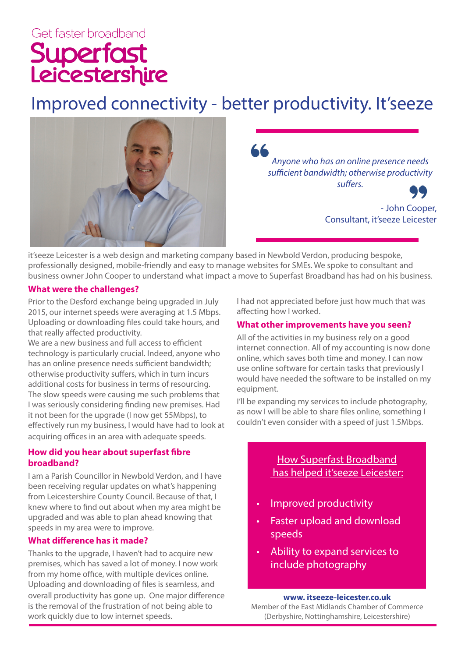# Get faster broadband Superfast<br>Leicestershire

# Improved connectivity - better productivity. It'seeze



66 *Anyone who has an online presence needs sufficient bandwidth; otherwise productivity suffers.*

> - John Cooper, Consultant, it'seeze Leicester

it'seeze Leicester is a web design and marketing company based in Newbold Verdon, producing bespoke, professionally designed, mobile-friendly and easy to manage websites for SMEs. We spoke to consultant and business owner John Cooper to understand what impact a move to Superfast Broadband has had on his business.

## **What were the challenges?**

Prior to the Desford exchange being upgraded in July 2015, our internet speeds were averaging at 1.5 Mbps. Uploading or downloading files could take hours, and that really affected productivity.

We are a new business and full access to efficient technology is particularly crucial. Indeed, anyone who has an online presence needs sufficient bandwidth; otherwise productivity suffers, which in turn incurs additional costs for business in terms of resourcing. The slow speeds were causing me such problems that I was seriously considering finding new premises. Had it not been for the upgrade (I now get 55Mbps), to effectively run my business, I would have had to look at acquiring offices in an area with adequate speeds.

# **How did you hear about superfast fibre broadband?**

I am a Parish Councillor in Newbold Verdon, and I have been receiving regular updates on what's happening from Leicestershire County Council. Because of that, I knew where to find out about when my area might be upgraded and was able to plan ahead knowing that speeds in my area were to improve.

## **What difference has it made?**

Thanks to the upgrade, I haven't had to acquire new premises, which has saved a lot of money. I now work from my home office, with multiple devices online. Uploading and downloading of files is seamless, and overall productivity has gone up. One major difference is the removal of the frustration of not being able to work quickly due to low internet speeds.

I had not appreciated before just how much that was affecting how I worked.

# **What other improvements have you seen?**

All of the activities in my business rely on a good internet connection. All of my accounting is now done online, which saves both time and money. I can now use online software for certain tasks that previously I would have needed the software to be installed on my equipment.

I'll be expanding my services to include photography, as now I will be able to share files online, something I couldn't even consider with a speed of just 1.5Mbps.

# How Superfast Broadband has helped it'seeze Leicester:

- Improved productivity
- Faster upload and download speeds
- Ability to expand services to include photography

#### **www. itseeze-leicester.co.uk**

Member of the East Midlands Chamber of Commerce (Derbyshire, Nottinghamshire, Leicestershire)